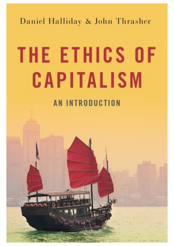Daniel Halliday & John Thrasher

# THE ETHICS OF CAPITALISM

**AN INTRODUCTION**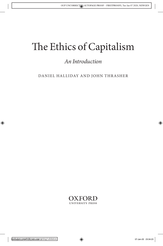## *An Introduction*

DANIEL HALLIDAY AND JOHN THRASHER



 $\bigoplus$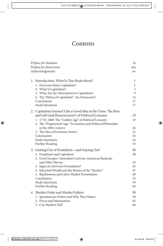## Contents

| Preface for Students                                                                       | хi             |
|--------------------------------------------------------------------------------------------|----------------|
| Preface for Instructors                                                                    | xiii           |
| Acknowledgments                                                                            | XV             |
| 1. Introduction: What Is This Book about?                                                  | $\mathbf{1}$   |
| 1. Everyone Hates Capitalism?                                                              | $\mathbf{1}$   |
| 2. What Is Capitalism?                                                                     | $\mathfrak{Z}$ |
| 3. What Are the Alternatives to Capitalism?                                                | 9              |
| 4. The "Ethics of Capitalism": An Oxymoron?                                                | 14             |
| Conclusions                                                                                | 17             |
| <b>Study Questions</b>                                                                     | 17             |
| 2. Capitalism Seemed Like a Good Idea at the Time: The Rise                                |                |
| and Fall (and Resurrection?) of Political Economy                                          | 19             |
| 1. 1770-1868: The "Golden Age" of Political Economy                                        | 19             |
| 2. The "Fragmented Age:" Economics and Political Philosophy<br>in the 20th Century         | 26             |
| 3. The Idea of Economic Justice                                                            | 31             |
| Conclusions                                                                                | 34             |
| <b>Study Questions</b>                                                                     | 34             |
| <b>Further Reading</b>                                                                     | 35             |
|                                                                                            |                |
| 3. Getting Out of Feudalism—and Staying Out!                                               | 38             |
| 1. Feudalism and Capitalism                                                                | 38             |
| 2. Great Escapes: Australian Convicts, American Radicals,                                  |                |
| and Other Heroes                                                                           | 43             |
| 3. Signs of a Revival of Feudalism?<br>4. Inherited Wealth and the Return of the "Rentier" | 45<br>47       |
| 5. Big Business and Labor Market Domination                                                | 48             |
| Conclusions                                                                                | 55             |
| <b>Study Questions</b>                                                                     | 56             |
| <b>Further Reading</b>                                                                     | 56             |
|                                                                                            |                |
| 4. Market Order and Market Failure                                                         | 58             |
| 1. Spontaneous Orders and Why They Matter                                                  | 58             |
| 2. Prices and Information                                                                  | 63             |
| 3. Can Markets Fail?                                                                       | 66             |

 $\bigoplus$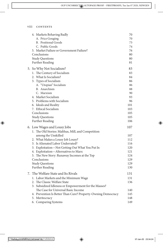$\begin{array}{c} \hline \end{array}$ 

 $\bigoplus$ 

#### viii CONTENTS

| 4. Markets Behaving Badly                                             | 70         |
|-----------------------------------------------------------------------|------------|
| A. Price Gouging<br><b>B.</b> Positional Goods                        | 70<br>73   |
| C. Public Goods                                                       | 74         |
| 5. Market Failure or Government Failure?                              | 76         |
| Conclusions                                                           | 80         |
| <b>Study Questions</b>                                                | 80         |
| <b>Further Reading</b>                                                | 81         |
| 5. So Why Not Socialism?                                              | 83         |
| 1. The Century of Socialism                                           | 83         |
| 2. What Is Socialism?                                                 | 84         |
| 3. Types of Socialism                                                 | 86         |
| A. "Utopian" Socialism                                                | 86         |
| B. Anarchism                                                          | 88         |
| C. Marxism                                                            | 90         |
| 4. Market Socialism<br>5. Problems with Socialism                     | 93<br>96   |
| 6. Ideals and Reality                                                 | 101        |
| 7. Ethical Socialism                                                  | 103        |
| Conclusions                                                           | 105        |
| <b>Study Questions</b>                                                | 105        |
| <b>Further Reading</b>                                                | 106        |
| 6. Low Wages and Lousy Jobs                                           | 107        |
| 1. The Old Stories: Malthus, Mill, and Competition                    |            |
| among the Unskilled                                                   | 107        |
| 2. What Makes a Lousy Job Lousy?                                      | 112        |
| 3. Is Alienated Labor Underrated?                                     | 116        |
| 3. Exploitation-Not Getting Out What You Put In                       | 120        |
| 4. Exploitation-Alternatives to Marx                                  | 121        |
| 5. The New Story: Runaway Incomes at the Top<br>Conclusions           | 124<br>129 |
| <b>Study Questions</b>                                                | 129        |
| Further Reading                                                       | 130        |
| 7. The Welfare State and Its Rivals                                   |            |
|                                                                       | 131<br>131 |
| 1. Labor Markets and the Minimum Wage<br>2. The Classic Welfare State | 136        |
| 3. Subsidized Idleness or Empowerment for the Masses?                 |            |
| The Case for Universal Basic Income                                   | 140        |
| 4. Prevention Is Better Than Cure? Property-Owning Democracy          | 145        |
| 5. Meritocracy                                                        | 148        |
| 6. Comparing Systems                                                  | 149        |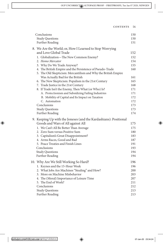CONTENTS ix

 $\begin{array}{c} \hline \end{array}$ 

 $\bigoplus$ 

| Conclusions                                                      | 150 |
|------------------------------------------------------------------|-----|
| <b>Study Questions</b>                                           | 150 |
| Further Reading                                                  | 151 |
| 8. We Are the World; or, How I Learned to Stop Worrying          |     |
| and Love Global Trade                                            | 152 |
| 1. Globalization-The New Common Enemy?                           | 152 |
| 2. Homo Mercator                                                 | 154 |
| 3. Why Do We Trade Anyway?                                       | 155 |
| 4. The British Empire and the Persistence of Pseudo-Trade        | 160 |
| 5. The Old Skepticism: Mercantilism and Why the British Empire   |     |
| Was Actually Bad for the British                                 | 161 |
| 6. The New Skepticism: Populism in the 21st Century              | 165 |
| 7. Trade Justice in the 21st Century                             | 168 |
| 8. If Trade Isn't the Enemy, Then What (or Who) Is?              | 171 |
| A. Protectionism and Subsidizing Failing Industries              | 171 |
| B. Mobility of Capital and Its Impact on Taxation                | 172 |
| C. Automation                                                    | 172 |
| Conclusions                                                      | 173 |
| <b>Study Questions</b>                                           | 173 |
| <b>Further Reading</b>                                           | 174 |
| 9. Keeping Up with the Joneses (and the Kardashians): Positional |     |
| Goods and Wars of All against All                                | 175 |
| 1. We Can't All Be Better Than Average                           | 175 |
| 2. Zero Sum versus Positive Sum                                  | 180 |
| 3. Capitalism's Great Disappointment?                            | 183 |
| 4. Arms Races, Good and Bad                                      | 187 |
| 5. Peace Treaties and Finish Lines                               | 191 |
| Conclusions                                                      | 193 |
| <b>Study Questions</b>                                           | 194 |
| <b>Further Reading</b>                                           | 194 |
| 10. Why Are We Still Working So Hard?                            | 196 |
| 1. Keynes and the 15-Hour Week                                   | 196 |
| 2. What Jobs Are Machines "Stealing" and How?                    | 200 |
| 3. More on Machine Misbehavior                                   | 203 |
| 4. The (Moral) Importance of Leisure Time                        | 207 |
| 5. The End of Work?                                              | 211 |
| Conclusions                                                      | 212 |
| <b>Study Questions</b>                                           | 213 |
| <b>Further Reading</b>                                           | 213 |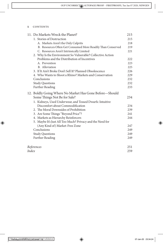$\overline{\phantom{a}}$ 

 $\bigoplus$ 

#### x CONTENTS

|  | 11. Do Markets Wreck the Planet?                            | 215 |
|--|-------------------------------------------------------------|-----|
|  | 1. Stories of Destruction                                   | 215 |
|  | A. Markets Aren't the Only Culprits                         | 218 |
|  | B. Resources Often Get Consumed More Readily Than Conserved | 219 |
|  | C. Resources Aren't Intrinsically Limited                   | 221 |
|  | 2. Why Is the Environment So Vulnerable? Collective Action  |     |
|  | Problems and the Distribution of Incentives                 | 222 |
|  | A. Prevention                                               | 223 |
|  | B. Alleviation                                              | 225 |
|  | 3. If It Ain't Broke Don't Sell It? Planned Obsolescence    | 226 |
|  | 4. Who Wants to Shoot a Rhino? Markets and Conservation     | 229 |
|  | Conclusions                                                 | 232 |
|  | <b>Study Questions</b>                                      | 232 |
|  | <b>Further Reading</b>                                      | 233 |
|  | 12. Boldly Going Where No Market Has Gone Before—Should     |     |
|  | Some Things Not Be for Sale?                                | 234 |
|  | 1. Kidneys, Used Underwear, and Tossed Dwarfs: Intuitive    |     |
|  | Discomfort about Commodification                            | 234 |
|  | 2. The Moral Downsides of Prohibition                       | 239 |
|  | 3. Are Some Things "Beyond Price"?                          | 241 |
|  | 4. Markets as Hierarchy Reinforcers                         | 244 |
|  | 5. Maybe It's Just All Too Much? Privacy and the Need for   |     |
|  | (Any Kind of) Market-Free Zone                              | 247 |
|  | Conclusions                                                 | 249 |
|  | <b>Study Questions</b>                                      | 249 |
|  | <b>Further Reading</b>                                      | 249 |
|  | References                                                  | 251 |
|  |                                                             |     |

*Index* 259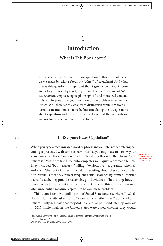## 1

### **Introduction**

#### What Is This Book about?

 $C_1.P_1$ 

C1

In this chapter, we lay out the basic question of this textbook: what do we mean by asking about the "ethics" of capitalism? And what makes this question so important that it gets its own book? We're going to get started by clarifying the intellectual discipline of *political economy*, emphasizing its philosophical and moralized content. This will help us draw your attention to the problem of economic justice. We'll then use this chapter to distinguish capitalism from alternative institutional systems before articulating the key questions about capitalism and justice that we will ask, and the methods we will use to consider various answers to them.

#### **1. Everyone Hates Capitalism?**

When you type a recognizable word or phrase into an internet search engine, you'll get presented with some extra words that you might use to narrow your search—we call these "autocompletes." Try doing this with the phrase "capitalism is." When we tried, the autocompletes were quite a dramatic bunch. They included "bad," "slavery," "failing," "exploitative," "a pyramid scheme," and even "the root of all evil." What's interesting about these autocompletion results is that they reflect frequent actual searches by human internet users. As such, they provide reasonably good evidence of how a large body of people actually feel about any given search terms. By this admittedly somewhat unscientific measure, capitalism has an image problem.  $C_1.P_2$ 

 $C<sub>1</sub>P<sub>3</sub>$ 

 $C<sub>1.51</sub>$ 

⊕

This is consistent with polling in the United States and elsewhere. In 2016, Harvard University asked 18- to 29-year-olds whether they "supported capitalism." Only 42% said that they did. In a similar poll conducted by YouGov in 2017, millennials in the United States were asked whether they would

*The Ethics of Capitalism.* Daniel Halliday and John Thrasher, Oxford University Press (2020). © Oxford University Press. DOI: 10.1093/oso/9780190096205.001.0001

Q: Throughout I ha<mark>v</mark><br>followed American followed American English style rules for punctuation.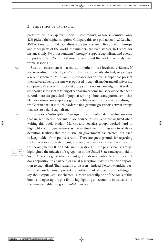prefer to live in a capitalist, socialist, communist, or fascist country—only 42% picked the capitalist option. Compare this to a poll taken in 2002 when 80% of Americans said capitalism is the best system to live under. In Europe and other parts of the world, the numbers are even starker. In France, for instance, only 6% of respondents "strongly" support capitalism, and overall support is only 30%. Capitalism's image around the world has rarely been worse, it seems.

 $C<sub>1</sub>P<sub>4</sub>$ 

 $C<sub>1</sub>$ . $P<sub>5</sub>$ 

⊕

AQ: This term is  $\epsilon$ ercased in NOAD, so I have done throughout. OK

Such an assessment is backed up by other, more localized evidence. If you're reading this book, you're probably a university student, or perhaps a recent graduate. Your campus probably has various groups that present themselves as being in some way opposed to capitalism. On and off university campuses, it's easy to find activist groups and various campaigns that seek to emphasize some sort of failing of capitalism or some injustice associated with it. And there is a good deal of popular writing—books and journalism—that blames various contemporary global problems or injustices on capitalism, in whole or in part. It is much harder to find genuine grassroots activist groups that seek to defend capitalism.

The various "anti-capitalist" groups on campus often stand up for concerns that are genuinely important. In Melbourne, Australia, where we lived when writing this book, student Marxist and socialist groups worked hard to highlight such urgent matters as the mistreatment of migrants in offshore detention facilities that the Australian government has created, but tried to keep hidden from public scrutiny. There are good grounds for regarding such practices as gravely unjust, and we give them some discussion later in this book (chapter 8, on trade and migration). In the past, socialist groups highlighted the injustice of segregation in the United States and apartheid in South Africa. It's good when activist groups draw attention to injustices. But does opposition to apartheid or racial segregation *require* any prior opposition to capitalism? That remains to be seen—indeed Nelson Mandela, perhaps the most famous opponent of apartheid, had relatively positive things to say about capitalism (see chapter 3). More generally, one of the goals of this book is to open up the possibility highlighting an economic injustice is not the same as highlighting a *capitalist* injustice.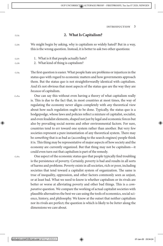| C <sub>1.52</sub>             | 2. What Is Capitalism?                                                                                                                                                                                                                                                                                                                                                                                                                                                                                                                                                                                                                                                                                                                                                                                                                                                                                                                                                                                                                                  |
|-------------------------------|---------------------------------------------------------------------------------------------------------------------------------------------------------------------------------------------------------------------------------------------------------------------------------------------------------------------------------------------------------------------------------------------------------------------------------------------------------------------------------------------------------------------------------------------------------------------------------------------------------------------------------------------------------------------------------------------------------------------------------------------------------------------------------------------------------------------------------------------------------------------------------------------------------------------------------------------------------------------------------------------------------------------------------------------------------|
| $C1$ . $P6$                   | We might begin by asking, why is capitalism so widely hated? But in a way,<br>this is the wrong question. Instead, it is better to ask two other questions:                                                                                                                                                                                                                                                                                                                                                                                                                                                                                                                                                                                                                                                                                                                                                                                                                                                                                             |
| $C_{1.}P_{7}$                 | 1. What is it that people actually hate?                                                                                                                                                                                                                                                                                                                                                                                                                                                                                                                                                                                                                                                                                                                                                                                                                                                                                                                                                                                                                |
| C <sub>1</sub> P8             | 2. What kind of thing is capitalism?                                                                                                                                                                                                                                                                                                                                                                                                                                                                                                                                                                                                                                                                                                                                                                                                                                                                                                                                                                                                                    |
| C <sub>1</sub> P <sub>9</sub> | The first question is easier. What people hate are problems or injustices in the<br>status quo with regard to economic matters and how governments approach<br>them. But the status quo is not straightforwardly identical with capitalism.<br>And it's not obvious that most aspects of the status quo are the way they are<br>because of capitalism.                                                                                                                                                                                                                                                                                                                                                                                                                                                                                                                                                                                                                                                                                                  |
| $C1$ . $P10$                  | One can say this without even having a theory of what capitalism really<br>is. This is due to the fact that, in most countries at most times, the way of<br>regulating the economy never aligns completely with <i>any</i> theoretical view<br>about how such regulation ought to be done. Typically, the status quo is a<br>hodgepodge, whose laws and policies reflect a mixture of capitalist, socialist,<br>and even feudalist elements, shaped not just by legal and economic forces but<br>also by prevailing social norms and other environmental factors. For sure,<br>countries tend to err toward one system rather than another. But very few<br>societies represent a pure instantiation of any theoretical system. There may<br>be something that is as bad as (according to the search engines) people think<br>it is. This thing may be representative of major aspects of how society and the<br>economy are currently organized. But that thing may not be capitalism-it<br>could even turn out that capitalism is part of the remedy. |

C1.P11

↔

One aspect of the economic status quo that people typically find troubling is the persistence of poverty. Certainly, poverty is bad and results in all sorts of harms and problems. Poverty exists in all societies, rich or poor, including societies that tend toward a capitalist system of organization. The same is true of inequality, oppression, and other factors commonly seen as unjust, or at least bad. What we need to know is whether capitalism or its rivals are better or worse at alleviating poverty and other bad things. This is a *comparative* question. We compare the working of actual capitalist societies with plausible alternatives the best we can using the tools of economics, social science, history, and philosophy. We know at the outset that neither capitalism nor its rivals are perfect; the question is which is likely to be *better* along the dimensions we care about.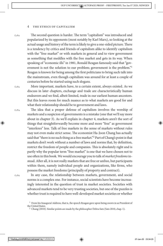$C_1.P_{12}$ 

The second question is harder. The term "capitalism" was introduced and popularized by its opponents (most notably by Karl Marx), so looking at the actual usage and history of the term is likely to give a one-sided picture. There is a tendency by critics and friends of capitalism alike to identify capitalism with the "free market" or with markets in general and to view government as something that meddles with the free market and gets in its way. When speaking of "economic ills" in 1981, Ronald Reagan famously said that "government is not the solution to our problem; government is the problem."1 Reagan is known for being among the first politicians to bring such talk into the mainstream, even though capitalism was around for at least a couple of centuries before he started using such slogans.

C1.P13

C1.P14

⊕

More important, markets have, to a certain extent, always existed. As we discuss in later chapters, exchange and trade are characteristically human endeavors and we find, albeit limited, trade in our earliest human ancestors. But this leaves room for much nuance as to what markets are good for and what their relationship should be to government and laws.

The idea that a proper defense of capitalism involves the worship of markets and a suspicion of governments is a mistake (one that we'll say more about in chapter 3). As we'll explain in chapter 4, markets aren't the sort of things that straightforwardly become more and more "free" as government "interferes" less. Talk of free markets in the sense of markets without rules may not even make strict sense. The economist Ha-Joon Chang has actually said that "there is no such thing as a free market."2 Part of Chang's point is that markets don't work without a number of laws and norms that, by definition, restrict the freedom of people and companies. This is absolutely right and is partly why the popular term "free market" is one that we have chosen not to use often in this book. We would encourage you to talk of *market freedoms* instead. After all, it is not really markets that are free or unfree, but participants within them, namely individual people and organizations, like firms, who possess the market freedoms (principally of property and contract).

 $C_1.P_15$ 

In any case, the relationship between markets, government, and social norms is a complex one. For instance, social scientists have become increasingly interested in the question of trust in market societies. Societies with advanced markets tend to be very trusting societies, but one of the puzzles is whether trust is required to have well-developed market societies or whether

<sup>&</sup>lt;sup>1</sup> From his Inaugural Address, that is, the speech Reagan gave upon being sworn in as President of the United States.

<sup>2</sup> Chang (2010). Similar points are made by the philosopher Debra Satz (Satz 2010, chap. 1).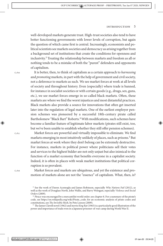well-developed markets generate trust. High-trust societies also tend to have better functioning governments with lower levels of corruption, but again the question of which came first is central. Increasingly, economists and political scientists see markets societies and democracy as arising together from a background set of institutions that create the conditions for openness and inclusivity.3 Treating the relationship between markets and freedom as all or nothing tends to be a mistake of both the "purest" defenders and opponents of capitalism.

C1.P16

It is better, then, to think of capitalism as a certain approach to *harnessing* and *promoting* markets, in part with the help of government and civil society, not a deference to markets as such. We see market forces at work at all levels of society and throughout history. Even (especially) where trade is banned, for instance in socialist societies or with certain goods (e.g., drugs, sex, guns, etc.), we see market forces emerge in so-called black markets. Often, these markets are where we find the worst injustices and most distasteful practices. Black markets also provide a source for innovations that often get inserted later into the regulation of legal markets. One of the earliest employer pension schemes was pioneered by a successful 18th-century pirate called Bartholomew "Black Bart" Roberts.<sup>4</sup> With modifications, such schemes have become a familiar feature of legitimate labor markets (pirates still exist, too, but we've been unable to establish whether they still offer pension schemes).

Market forces are powerful and virtually impossible to eliminate. We find markets emerging in most intuitively unlikely of places, such as prisons.<sup>5</sup> But market forces at work where they don't belong can be extremely destructive. For instance, markets in political power where politicians sell their votes and services to the highest bidder are not only unjust but also inimical to the function of a market economy that benefits everyone in a capitalist society. Indeed, it is often in places with weak market institutions that political corruption is so prevalent.

C1.P18

 $C_1.P_{17}$ 

⊕

Market forces and markets are ubiquitous, and yet the existence and promotion of markets alone are not the "essence" of capitalism. What, then, is?

<sup>3</sup> See the work of Daron Acemoglu and James Robinson, especially *Why Nations Fail* (2012), as well as the work of Douglass North, John Wallis, and Barry Weingast, especially *Violence and Social Orders* (2009).

<sup>4</sup> Piracy was encouraged by a mercantilist world order; see chapter 8. For a summary of the pirate's code, see https://en.wikipedia.org/wiki/Pirate\_code; for an economic analysis of pirate codes and constitutions, see *The Invisible Hook*, by Pete Leeson (2009).

<sup>5</sup> The James Clavell novel (1962) and movie *King Rat* (1965) is a particularly good illustration of the power and importance of trade even in a Japanese prisoner-of-war camp during World WarII.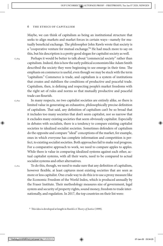Maybe, we can think of capitalism as being an institutional structure that seeks to align markets and market forces in certain ways—namely for mutually beneficial exchange. The philosopher John Rawls wrote that society is a "cooperative venture for mutual exchange."6 He had much more to say on this, but his description is a pretty good slogan for capitalist society as well.

 $C<sub>1</sub>$ . $P<sub>1</sub>$ g

Perhaps it would be better to talk about "commercial society" rather than capitalism. Indeed, this is how the early political economists like Adam Smith described the society they were beginning to see emerge in their time. The emphasis on commerce is useful, even though we may be stuck with the term "capitalism." Commerce is trade, and capitalism is a system of institutions that creates and stabilizes the conditions of productive and peaceful trade. Capitalism, then, is defining and respecting people's market freedoms with the right set of rules and norms so that mutually productive and peaceful trade can flourish.

In many respects, no two capitalist societies are entirely alike, so there is

 $C<sub>1</sub>P<sub>2</sub>$ 

⊕

limited value in generating an exhaustive, philosophically precise definition of capitalism. That said, any definition of capitalism can't be so broad that it includes too many societies that don't seem capitalist, nor so narrow that it excludes many existing societies that seem obviously capitalist. Especially in debates with socialists, there is a tendency to compare existing capitalist societies to idealized socialist societies. Sometimes defenders of capitalism do the opposite and compare "ideal" conceptions of the market, for example, ones in which everyone has complete information and competition is perfect, to existing socialist societies. Both approaches fail to make real progress. For a comparative approach to work, we need to compare apples to apples. While there is value in comparing idealized systems against each other, actual capitalist systems, with all their warts, need to be compared to actual socialist systems and other alternatives.

 $C_1 P_{21}$ 

To do this, though, we need to make sure that any definition of capitalism, however flexible, at least captures most existing societies that are seen as more or less capitalist. One crude way to do this is to use a proxy measure like the Economic Freedom of the World Index, which is produced annually by the Fraser Institute. Their methodology measures size of government, legal system and security of property rights, sound money, freedom to trade internationally, and regulation. In 2017, the top countries on their list were:

<sup>6</sup> This idea is developed at length in Rawls's *A Theory of Justice* (1999).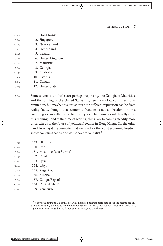1. Hong Kong 2. Singapore 3. New Zealand 4. Switzerland 5. Ireland 6. United Kingdom 7. Mauritius 8. Georgia 9. Australia 10. Estonia 11. Canada 12. United States  $C_1.P_{22}$  $C<sub>1</sub>P<sub>23</sub>$ C1.P24 C1.P25 C1.P26  $C_1.P_2$  $C_1.P_28$ C<sub>1</sub>.P<sub>29</sub> C1.P30  $C_1.P_{31}$  $C_1.P_{32}$ C<sub>1</sub>.P<sub>33</sub>

Some countries on the list are perhaps surprising, like Georgia or Mauritius, and the ranking of the United States may seem very low compared to its reputation, but maybe this just shows how different reputation can be from reality (note, though, that economic freedom is not all freedom—how a country governs with respect to other types of freedom doesn't directly affect this ranking—and at the time of writing, things are becoming steadily more uncertain as to the future of political freedom in Hong Kong). On the other hand, looking at the countries that are rated for the worst economic freedom shows societies that no one would say are capitalist:<sup>7</sup>  $C<sub>1</sub>$ . $P<sub>34</sub>$ 

| $C1$ . $P35$                    | 149. Ukraine             |
|---------------------------------|--------------------------|
| $C1$ . $P36$                    | 150. Iran                |
| C <sub>1</sub> P <sub>37</sub>  | 151. Myanmar (aka Burma) |
| C <sub>1</sub> P <sub>3</sub> 8 | 152. Chad                |
| $C1$ . $P39$                    | 153. Syria               |
| C <sub>1</sub> P <sub>40</sub>  | 154. Libya               |
| C <sub>1</sub> P <sub>41</sub>  | 155. Argentina           |
| C <sub>1</sub> P <sub>42</sub>  | 156. Algeria             |
| C <sub>1</sub> P <sub>43</sub>  | 157. Congo, Rep. of      |
| C <sub>1</sub> P <sub>44</sub>  | 158. Central Afr. Rep.   |
| C <sub>1</sub> P <sub>45</sub>  | 159. Venezuela           |

↔

<sup>7</sup> It is worth noting that North Korea was not rated because basic data about the regime are unavailable. If rated, it would surely be number 160 on the list. Other countries not rated were Iraq, Afghanistan, Belarus, Sudan, Turkmenistan, Somalia, and Uzbekistan.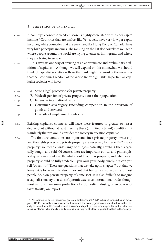A country's economic freedom score is highly correlated with its per capita income.8 Countries that are unfree, like Venezuela, have very low per capita incomes, while countries that are very free, like Hong Kong or Canada, have very high per capita incomes. The ranking on the list also correlates well with where people around the world are trying to enter as immigrants and where they are trying to escape. C1.P46

C1.P47

 $C_1$ . Pen

C<sub>1</sub>.P<sub>54</sub>

⊕

This gives us one way of arriving at an approximate and preliminary definition of capitalism. Although we will expand on this somewhat, we should think of capitalist societies as those that rank highly on most of the measures that the Economic Freedom of the World Index highlights. In particular, capitalist societies will have:

- A. Strong legal protections for private property  $C_1.P_48$
- B. Wide dispersion of private property across their population  $C_1.P_49$
- C. Extensive international trade  $C<sub>1</sub>$ . $P<sub>5</sub>$ c
	- D. Consumer sovereignty (including competition in the provision of goods and services)
- E. Diversity of employment contracts  $C<sub>1</sub>$ . $P<sub>52</sub>$
- Existing capitalist countries will have these features to greater or lesser degrees, but without at least meeting these (admittedly broad) conditions, it is unlikely that we would consider the society in question capitalist.  $C<sub>1</sub>P<sub>53</sub>$

The first two conditions are important since private property ownership and the rights protecting private property are necessary for trade. By "private property" we mean a wide range of things—basically, anything that is typically bought and sold. Of course, there are important ethical and philosophical questions about exactly what should count as property, and whether all property should be fully tradable—you own your body, surely, but can you sell (or rent) it? These are questions that we take up in chapter 7 but that we leave aside for now. It is also important that basically anyone can, and most people do, own private property of some sort. It is also difficult to imagine a capitalist society that doesn't permit extensive international trade, though most nations have some protections for domestic industry, often by way of taxes (tariffs) on imports.

<sup>8</sup> Per capita income is a measure of gross domestic product (GDP) adjusted for purchasing power parity (PPP). Basically, it is a measure of how much the average person can afford to buy in their society corrected for differences between currency and quality. Despite some problems, this is the best measure of how rich a society is and a defensible proxy for the level of general welfare in the society.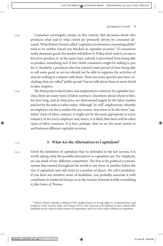$C<sub>1</sub>P<sub>55</sub>$ 

Consumer sovereignty means, in this context, that decisions about who produces what and to what extent are primarily driven by consumer demand. What Robert Nozick called "capitalist acts between consenting adults" tend to be neither forced nor blocked in capitalist societies.<sup>9</sup> If consumers really demand a good, the market will deliver it. If they don't want it, no one is forced to produce it. At the same time, nobody is prevented from being able to produce something new if they think consumers might be willing to pay for it. Similarly, a producer who has enjoyed some period of time being able to sell some good or service should not be able to suppress the activities of anyone seeking to compete with them. There are some special cases here, including what are called "public goods," but we talk about those in more detail in later chapters.

The final point is about labor and employment contracts. In capitalist societies, there are many types of labor contracts. Questions about whom to hire, for how long, and at what price are determined largely by the labor market and not by the state or other entity. Although "at-will" employment, whereby an employer can fire a worker for any reason, may seem to be the most "capitalist" form of labor contract, it might not be the most appropriate in every industry or for every employer and, hence, it is likely that there will be other types of labor contracts. It is here, perhaps, that we see the most variety in and between different capitalist societies.

#### **3. What Are the Alternatives to Capitalism?**

Given the definition of capitalism that we defended in the last section, it is worth asking what the possible alternatives to capitalism are. For simplicity, we can think of two different competitors. The first is the political economic system that existed throughout the world in one form or another before the rise of capitalism and still exists in a number of places. We call it *feudalism*. If you have any intuitive sense of feudalism, you probably associate it with conditions in medieval Europe or in the various fictional worlds resembling it, like *Game of Thrones*.

⊕

C1.P56

 $C<sub>1.53</sub>$ 

 $C_1$   $P_{57}$ 

<sup>9</sup> Robert Nozick defends a defense of the market based on strong rights to noninterference and property in his *Anarchy, State, and Utopia* (1974). One criticism of his defense is that it places little emphasis on the value or enforcement of competition, and so it is not really a defense of capitalism.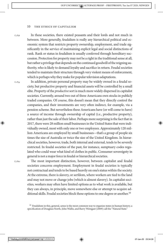$C_1.P58$ 

In these societies, there existed peasants and their lords and not much in between. More generally, feudalism is really any hierarchical political and economic system that restricts property ownership, employment, and trade significantly in the service of maintaining explicit legal and social distinctions of rank. Rank or status in feudalism is usually conferred through hereditary succession. Protection for property may not be a right in the traditional sense at all, but rather a privilege that depends on the continued goodwill of the reigning authority, who is likely to demand loyalty and sacrifice in return. Feudal societies tended to maintain their structure through very violent means of enforcement, which is perhaps why they make for popular television adaptations.

C<sub>1</sub>.P<sub>59</sub>

In addition, private personal property may be widely owned in a feudal society, but productive property and financial assets will be controlled by a small elite. Property of the *productive* sort is much more widely dispersed in capitalist societies. Currently, around two out of three Americans own stocks in publicly traded companies. Of course, this doesn't mean that they directly control the companies, and their investments are very often indirect, for example, via a pension scheme. But nevertheless these Americans have (or will come to have) a source of income through ownership of capital (i.e., productive property), rather than just the sale of their labor. Perhaps more surprising is the fact that in 2017, there were 28 million small businesses in the United States that were individually owned, most with only one or two employees. Approximately 120 million Americans are employed by small businesses—that's a group of people six times the size of Australia or twice the size of the United Kingdom. In hierarchical societies, however, trade, both internal and external, tends to be severely restricted. In feudal societies of the past, for instance, sumptuary codes regulated who could wear what kind of clothes in public. Consumer sovereignty in general is not a major force in feudal or hierarchical societies.

C<sub>1</sub>.P<sub>60</sub>

⊕

The most important distinction, however, between capitalist and feudal societies concerns employment. Employment in feudal societies is typically not contractual and tends to be based heavily on one's status within the society. At the extreme, there is slavery, or serfdom, where workers are tied to the land and may not move or change jobs (which is almost slavery). In capitalist societies, workers may often have limited options as to what work is available, but they can always, in principle, move somewhere else or attempt to acquire additional skills. Feudal societies block these options to one degree or another.<sup>10</sup>

<sup>10</sup> Feudalism in this, general, sense is the most common way to organize states in human history, a specification of Douglass North, John Wallis, and Barry Weingast (2009) call the "Natural State."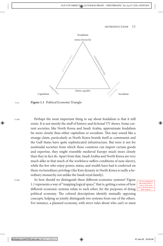

 $C<sub>1</sub>F<sub>1</sub>$ 

**Figure 1.1** Political Economy Triangle

 $C_1$  P61

⊕

Perhaps the most important thing to say about feudalism is that it still exists. It is not merely the stuff of history and fictional TV shows. Some current societies, like North Korea and Saudi Arabia, approximate feudalism far more closely than either capitalism or socialism. This may sound like a strange claim, particularly as North Korea brands itself as communist and the Gulf States have quite sophisticated infrastructure. But were it not for nonfeudal societies from which these countries can import certain goods and expertise, they might resemble medieval Europe much more closely than they in fact do. Apart from that, Saudi Arabia and North Korea are very much alike in that much of the workforce suffers conditions of near slavery, while the few who enjoy power, status, and wealth have had it conferred on them via hereditary privilege (the Kim dynasty in North Korea is really a hereditary monarchy not unlike the Saudi royal family).

 $C_1$  P62

So how should we distinguish these different economic systems? Figure 1.1 represents a way of "mapping logical space," that is, getting a sense of how different economic systems relate to each other, for the purposes of doing political economy. The colored descriptions identify mutually opposing concepts, helping us jointly distinguish two systems from one of the others. For instance, a planned economy, with strict rules about who can't or must

AQ: I am spelling out abbreviations like i.e. and e.g. in the main the second to be done other chapters.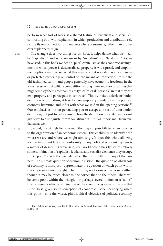perform what sort of work, is a shared feature of feudalism and socialism, contrasting both with capitalism, in which production and distribution rely primarily on competition and markets where consumers, rather than producers or planners, reign.

C<sub>1</sub>.P<sub>63</sub>

The triangle does two things for us. First, it helps define what we mean by "capitalism" and what we mean by "socialism" and "feudalism." As we have said, in this book we define "pure" capitalism as the economic arrangement in which power is decentralized, property is widespread, and employment options are diverse. What this means is that nobody has any exclusive or protected ownership or control of "the means of production" (to use the old-fashioned term), and people generally have economic freedoms in the ways necessary to facilitate competition among them and the companies that might employ them (companies are typically legal "persons," in that they can own property and participate in contracts). This is, in fact, a fairly orthodox definition of capitalism, at least by contemporary standards in the political economy literature, and it fits with what we said in the opening sections.<sup>11</sup> Our emphasis is not on persuading you to accept any sort of unorthodox definition, but just to get a sense of how the definition of capitalism doesn't just serve to distinguish it from socialism but—just as important—from feudalism as well.

C1.P64

⊕

Second, the triangle helps us map the *range* of possibilities when it comes to the organization of an economic system. This enables us to identify both where we are and where we might aim to go. It does this while allowing for the important fact that conformity to any political economic system is a matter of degree. As we've said, real-world economies typically embody some combination of capitalist, feudalist, and socialist elements: they occupy some "point" inside the triangle rather than sit tightly into any of the corners. The ultimate question of economic justice—the question of which sort of economy is most just—approximates the question of which point within this space an economy ought to be. This may not be one of the corners either, though it may be much closer to one corner than to the others. There will be some point within the triangle (or perhaps several points, or a "zone") that represents which combination of the economic systems is the one that is the "best" given some conception of economic justice. Identifying where this point lies is the *moral*, philosophical objective of political economy.

<sup>&</sup>lt;sup>11</sup> Our definition is very similar to that used by Samuel Freeman (2001) and James Otteson (2014, 12).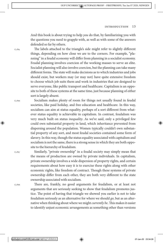And this book is about trying to help *you* do that, by familiarizing you with the questions you need to grapple with, as well as with some of the answers defended so far by others.

The labels attached to the triangle's side might refer to slightly different things, depending on how close we are to the corners. For example, "planning" in a feudal economy will differ from planning in a socialist economy. Feudal planning involves coercion of the working masses to serve an elite. Socialist planning will also involve coercion, but the planning can take many different forms. The state will make decisions as to which industries and jobs should exist, but workers may (or may not) have quite extensive freedom to choose which job suits them and work in industries that are designed to serve everyone, like public transport and healthcare. Capitalism is an opposite to both of these systems at the same time, just because planning of either sort is largely absent.

Socialism makes plenty of room for things not usually found in feudal societies, like paid holiday, and free education and healthcare. In this way, socialism can aim at status equality, perhaps of a sort different from whatever status equality is achievable in capitalism. In contrast, feudalism was very much built on status *inequality*. As we've said, only a privileged few could own substantial property in land, which inheritance prevented from dispersing around the population. Women typically couldn't own substantial property of any sort, and most feudal societies contained some form of slavery. In this way, though the status equality associated with capitalism and socialism is not the same, there is a strong sense in which they are both opposite to the hierarchy of feudalism.

Similarly, "private ownership" in a feudal society may simply mean that the means of production are owned by private individuals. In capitalism, private ownership involves a wide dispersion of property rights, and certain requirements about how easy it is to exercise these rights along with other economic rights, like freedom of contract. Though these systems of private ownership differ from each other, they are both very different to the state ownership associated with socialism.

There are, frankly, no good arguments for feudalism, or at least not arguments that are seriously seeking to show that feudalism promotes justice. The point of having that triangle we showed you earlier is not to take feudalism seriously as an alternative for where we should *go*, but as an alternative when thinking about where we might *currently be*. This makes it easier to identify unjust economic arrangements as something other than versions

C1.P65

C<sub>1</sub>.P<sub>66</sub>

⊕

C<sub>1</sub> P<sub>67</sub>

C1.P68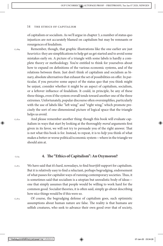of capitalism or socialism. As we'll argue in chapter 3, a number of status quo injustices are not accurately blamed on capitalism but may be remnants or resurgences of feudalism.

C<sub>1</sub>.P<sub>69</sub>

Remember, though, that graphic illustrations like the one earlier are just *heuristics*: they are simplifications to help get us get started and to avoid some mistakes early on. A picture of a triangle with some labels is hardly a complete theory or methodology. You're entitled to think for yourselves about how to expand on definitions of the various economic systems, and of the relations between them. Just don't think of capitalism and socialism as binary, absolute alternatives that exhaust the set of possibilities on offer. In particular, if you perceive some aspect of the status quo that you think might be unjust, consider whether it might be an aspect of capitalism, socialism, or a leftover influence of feudalism. It could, in principle, be any of these three things, even if the system overall tends toward another one of the three extremes. Unfortunately, popular discourse often oversimplifies, particularly with the use of labels like "left wing" and "right wing," which promote precisely the sort of one-dimensional picture of logical space that the triangle helps us avoid.

And please remember another thing: though this book will evaluate capitalism in ways that start by looking at the thoroughly *moral* arguments first given in its favor, we will not try to persuade you of the right answer. That is not what this book is for. Instead, to repeat, it is to *help* you think of what makes a better or worse political/economic system—where in the triangle we should aim at.

#### **4. The "Ethics of Capitalism": An Oxymoron?**

We have said that it's hard, nowadays, to find *heartfelt* support for capitalism. But it is relatively easy to find a reluctant, perhaps begrudging, endorsement of what passes for capitalist ways of running contemporary societies. Thus, it is sometimes said that socialism is a utopian but unrealistic body of ideas one that simply assumes that people would be willing to work hard for the common good. Socialist theories, it is often said, simply go about describing how nice things would be if this were so. C1.P71

C1.P72

Of course, the begrudging defense of capitalism goes, such optimistic assumptions about human nature are false. The reality is that humans are selfish creatures, who seek to advance their own good over that of society,

⊕

 $C<sub>1.54</sub>$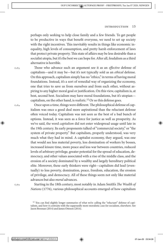perhaps only seeking to help close family and a few friends. To get people to be productive in ways that benefit everyone, we need to set up society with the right incentives. This inevitably results in things like economic inequality, high levels of consumption, and pretty harsh enforcement of laws that protect private property. This state of affairs may be less desirable than a socialist utopia, but it's the best we can hope for. After all, feudalism as a third alternative is horrible.

Those who advance such an argument see it as an *effective* defense of capitalism—and it may be—but it's not typically sold as an *ethical* defense. On this approach, capitalism simply has no "ethics," in terms of having moral foundations. Instead, it's a sort of remedial way of organizing the economy, one that tries to save us from ourselves and from each other, without aspiring to any higher moral goal or justification. On this view, capitalism is, at best, second best. Socialism may have moral foundations, but it's utopian—

C1.P73

 $C_1$   $p_{74}$ 

⊕

C<sub>1</sub>.P<sub>75</sub>

capitalism, on the other hand, is *realistic.*12 Or so this defense goes. Once upon a time, things were different. The philosophical defense of capitalism was once a good deal more aspirational than the reluctant defense often voiced today. Capitalism was not seen as the best of a bad bunch of options. Instead, it was seen as a force for justice as well as prosperity. As we've said, the word *capitalism* did not enter widespread usage until late in the 19th century. Its early proponents talked of "commercial society," or "the system of private property." But capitalism, properly understood, was very much what they had in mind. A capitalist economy, they argued, was one that would see less material poverty, less domination of workers by bosses, increased leisure time, more peace and less war between countries, reduced levels of arbitrary privilege, greater potential for the spread of education, democracy, and other values associated with a rise of the middle class, and the erosion of a society dominated by a wealthy and largely hereditary political elite. Moreover, these early thinkers were right—capitalism did lead (eventually) to less poverty, domination, peace, freedom, education, the erosion of privilege, and democracy. All of these things seem not only like material advances but also *moral* advances.

Starting in the 18th century, most notably in Adam Smith's *The Wealth of Nations* (1776), various philosophical accounts emerged of how capitalism

 $\bigoplus_{i=1}^{\infty}$  hallidation of the 15  $\bigoplus$  o7-Jan-20 23:34:26

<sup>&</sup>lt;sup>12</sup> You can find slightly longer summaries of what we're calling the "reluctant" defense of capitalism, and how it contrasts with the supposedly more moralistic case for socialism, elsewhere. See Jason Brennan (2014) and James Otteson (2014).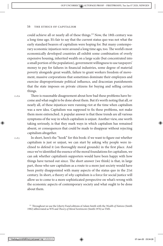could achieve all or nearly all of these things.<sup>13</sup> Now, the 18th century was a long time ago. It's fair to say that the current status quo was not what the early standard bearers of capitalism were hoping for. But many contemporary economic injustices were around a long time ago, too. The world's most economically developed countries all exhibit some combination of overly expensive housing, inherited wealth on a large scale (but concentrated into a small portion of the population), government willingness to use taxpayers' money to pay for failures in financial industries, some degree of material poverty alongside great wealth, failure to grant workers freedom of movement, massive corporations that sometimes dominate their employees and exercise disproportionate political influence, and draconian punishments that the state imposes on private citizens for buying and selling certain things.

C<sub>1</sub>.P<sub>76</sub>

C<sub>1</sub>.P<sub>77</sub>

⊕

There is reasonable disagreement about how bad these problems have become and what ought to be done about them. But it's worth noting that all, or nearly all, of these injustices were running riot at the time when capitalism was a new idea. Capitalism was supposed to fix these problems, not make them more entrenched. A popular answer is that these trends are all various symptoms of the way in which capitalism is unjust. Another view, one worth taking seriously, is that they mark ways in which capitalism has remained absent, or consequences that could be made to disappear without rejecting capitalism altogether.

In short, here's the "hook" for this book: if we want to figure out whether capitalism is just or unjust, we can start by asking why people were inclined to defend it (on thoroughly moral grounds) in the first place. And once we've identified the essence of the moral foundations for capitalism, we can ask whether capitalism's supporters would have been happy with how things have turned out since. The short answer (we think) is that, in large part, those who saw capitalism as a route to a more just society would have been pretty disappointed with many aspects of the status quo in the 21st century. In short, a theory of *why* capitalism is a force for social justice will allow us to come to a more sophisticated perspective on what's wrong with the economic aspects of contemporary society and what ought to be done about them.

<sup>13</sup> Throughout we use the Liberty Fund editions of Adam Smith with the *Wealth of Nations* (Smith 1982) abbreviated as WN and *Theory of Moral Sentiments* (Smith 1976) as TMS.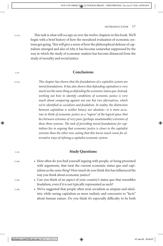$C_1.P_78$ 

C1.S5

C<sub>1</sub>.P<sub>79</sub>

C1.S6

⊕

This task is what will occupy us over the twelve chapters in this book. We'll begin with a brief history of how the moralized evaluation of economic systems got going. This will give a sense of how the philosophical defense of capitalism emerged and also of why it has become somewhat suppressed by the way in which the study of economic matters has become distanced from the study of morality and social justice.

#### **Conclusions**

*This chapter has shown that the foundations of a capitalist system are moral foundations. It has also shown that defending capitalism is very much not the same thing as defending the economic status quo. Instead, working out how to identify conditions of economic justice is very much about comparing against not one but two alternatives, which we've identified as socialism and feudalism. In reality, the distinction between capitalism is neither binary nor absolute—it is more accurate to think of economic justice as a "region" of the logical space that lies between extremes of very pure (perhaps unattainable) extremes of these three systems. The task of providing moral foundations for capitalism lies in arguing that economic justice is closer to the capitalist extreme than the other two, noting that this leaves much room for alternative ways of refining a capitalist economic system*.

#### **Study Questions**

| $C1$ . $P8$ o                   | • How often do you find yourself arguing with people, or being presented        |
|---------------------------------|---------------------------------------------------------------------------------|
|                                 | with arguments, that treat the current economic status quo and capi-            |
|                                 | talism as the <i>same thing</i> ? How much do you think this has influenced the |
|                                 | way you think about economic justice?                                           |
| C <sub>1</sub> .P8 <sub>1</sub> | • Can you think of an aspect of your country's status quo that resembles        |
|                                 | feudalism, even if it is not typically represented as such?                     |

• We've suggested that people often treat socialism as utopian and idealistic while seeing capitalism as more realistic and concessive to "facts" about human nature. Do you think it's especially difficulty to be both C<sub>1</sub>.P82